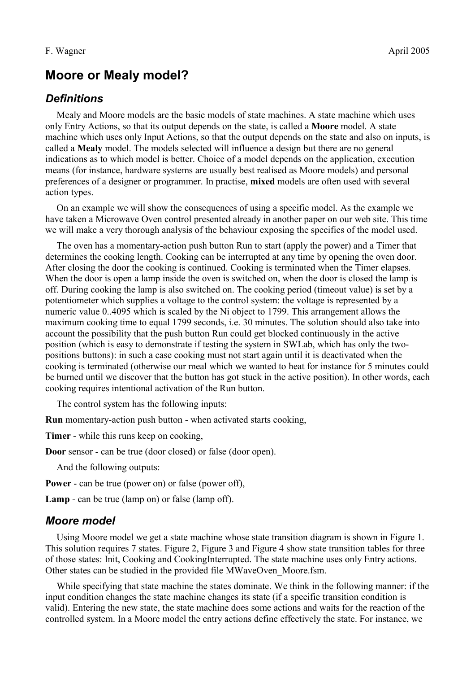# **Moore or Mealy model?**

# *Definitions*

Mealy and Moore models are the basic models of state machines. A state machine which uses only Entry Actions, so that its output depends on the state, is called a **Moore** model. A state machine which uses only Input Actions, so that the output depends on the state and also on inputs, is called a **Mealy** model. The models selected will influence a design but there are no general indications as to which model is better. Choice of a model depends on the application, execution means (for instance, hardware systems are usually best realised as Moore models) and personal preferences of a designer or programmer. In practise, **mixed** models are often used with several action types.

On an example we will show the consequences of using a specific model. As the example we have taken a Microwave Oven control presented already in another paper on our web site. This time we will make a very thorough analysis of the behaviour exposing the specifics of the model used.

The oven has a momentary-action push button Run to start (apply the power) and a Timer that determines the cooking length. Cooking can be interrupted at any time by opening the oven door. After closing the door the cooking is continued. Cooking is terminated when the Timer elapses. When the door is open a lamp inside the oven is switched on, when the door is closed the lamp is off. During cooking the lamp is also switched on. The cooking period (timeout value) is set by a potentiometer which supplies a voltage to the control system: the voltage is represented by a numeric value 0..4095 which is scaled by the Ni object to 1799. This arrangement allows the maximum cooking time to equal 1799 seconds, i.e. 30 minutes. The solution should also take into account the possibility that the push button Run could get blocked continuously in the active position (which is easy to demonstrate if testing the system in SWLab, which has only the twopositions buttons): in such a case cooking must not start again until it is deactivated when the cooking is terminated (otherwise our meal which we wanted to heat for instance for 5 minutes could be burned until we discover that the button has got stuck in the active position). In other words, each cooking requires intentional activation of the Run button.

The control system has the following inputs:

**Run** momentary-action push button - when activated starts cooking,

**Timer** - while this runs keep on cooking,

**Door** sensor - can be true (door closed) or false (door open).

And the following outputs:

**Power** - can be true (power on) or false (power off),

**Lamp** - can be true (lamp on) or false (lamp off).

#### *Moore model*

Using Moore model we get a state machine whose state transition diagram is shown in [Figure 1.](#page-1-0) This solution requires 7 states. [Figure 2,](#page-1-2) [Figure 3](#page-1-1) and [Figure 4](#page-2-0) show state transition tables for three of those states: Init, Cooking and CookingInterrupted. The state machine uses only Entry actions. Other states can be studied in the provided file MWaveOven\_Moore.fsm.

While specifying that state machine the states dominate. We think in the following manner: if the input condition changes the state machine changes its state (if a specific transition condition is valid). Entering the new state, the state machine does some actions and waits for the reaction of the controlled system. In a Moore model the entry actions define effectively the state. For instance, we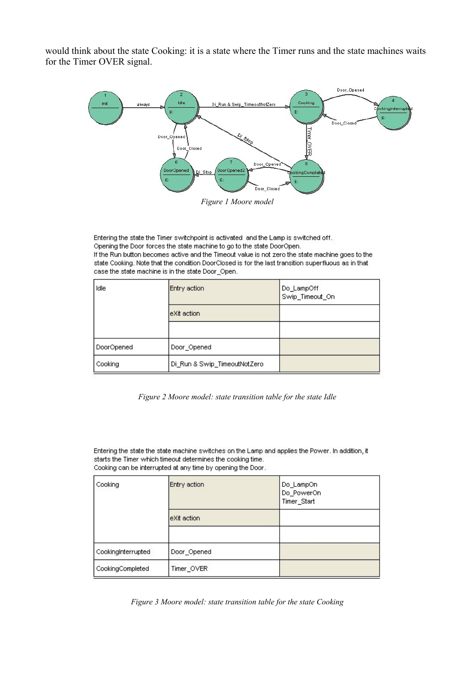would think about the state Cooking: it is a state where the Timer runs and the state machines waits for the Timer OVER signal.



<span id="page-1-0"></span>Entering the state the Timer switchpoint is activated and the Lamp is switched off. Opening the Door forces the state machine to go to the state DoorOpen. If the Run button becomes active and the Timeout value is not zero the state machine goes to the state Cooking. Note that the condition DoorClosed is for the last transition superfluous as in that case the state machine is in the state Door Open.

| Idle       | Entry action                 | Do_LampOff<br>Swip_Timeout_On |
|------------|------------------------------|-------------------------------|
|            | leXit action.                |                               |
|            |                              |                               |
| DoorOpened | Door_Opened                  |                               |
| Cooking    | Di_Run & Swip_TimeoutNotZero |                               |

<span id="page-1-2"></span>*Figure 2 Moore model: state transition table for the state Idle*

Entering the state the state machine switches on the Lamp and applies the Power. In addition, it starts the Timer which timeout determines the cooking time. Cooking can be interrupted at any time by opening the Door.

| Cooking            | Entry action | Do_LampOn<br>Do_PowerOn<br>Timer_Start |
|--------------------|--------------|----------------------------------------|
|                    | eXit action  |                                        |
|                    |              |                                        |
| CookingInterrupted | Door_Opened  |                                        |
| CookingCompleted   | Timer_OVER   |                                        |

<span id="page-1-1"></span>*Figure 3 Moore model: state transition table for the state Cooking*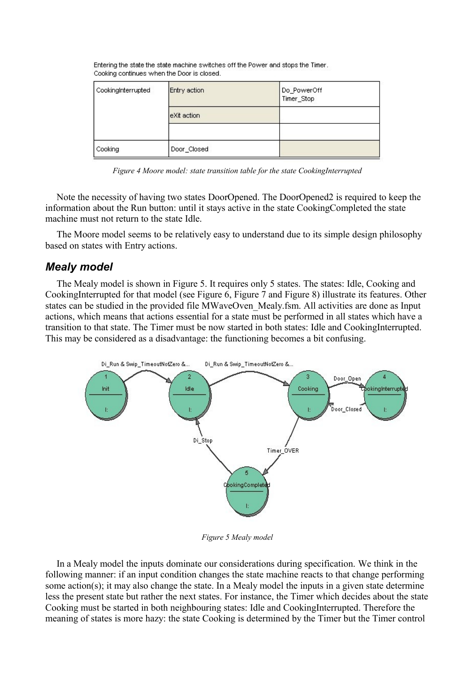| CookingInterrupted | Entry action | Do_PowerOff<br>Timer_Stop |
|--------------------|--------------|---------------------------|
|                    | eXit action  |                           |
|                    |              |                           |
| Cooking            | Door_Closed  |                           |

Entering the state the state machine switches off the Power and stops the Timer. Cooking continues when the Door is closed.

<span id="page-2-0"></span>*Figure 4 Moore model: state transition table for the state CookingInterrupted*

Note the necessity of having two states DoorOpened. The DoorOpened2 is required to keep the information about the Run button: until it stays active in the state CookingCompleted the state machine must not return to the state Idle.

The Moore model seems to be relatively easy to understand due to its simple design philosophy based on states with Entry actions.

### *Mealy model*

The Mealy model is shown in [Figure 5.](#page-2-1) It requires only 5 states. The states: Idle, Cooking and CookingInterrupted for that model (see [Figure 6,](#page-3-1) [Figure 7](#page-3-0) and [Figure 8\)](#page-4-0) illustrate its features. Other states can be studied in the provided file MWaveOven\_Mealy.fsm. All activities are done as Input actions, which means that actions essential for a state must be performed in all states which have a transition to that state. The Timer must be now started in both states: Idle and CookingInterrupted. This may be considered as a disadvantage: the functioning becomes a bit confusing.



<span id="page-2-1"></span>*Figure 5 Mealy model*

In a Mealy model the inputs dominate our considerations during specification. We think in the following manner: if an input condition changes the state machine reacts to that change performing some action(s); it may also change the state. In a Mealy model the inputs in a given state determine less the present state but rather the next states. For instance, the Timer which decides about the state Cooking must be started in both neighbouring states: Idle and CookingInterrupted. Therefore the meaning of states is more hazy: the state Cooking is determined by the Timer but the Timer control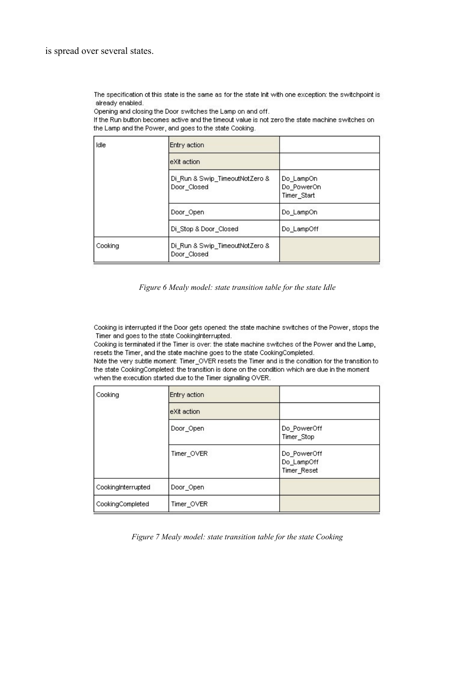The specification of this state is the same as for the state Init with one exception: the switchpoint is already enabled.

Opening and closing the Door switches the Lamp on and off.

If the Run button becomes active and the timeout value is not zero the state machine switches on the Lamp and the Power, and goes to the state Cooking.

| Idle    | Entry action                                  |                                        |
|---------|-----------------------------------------------|----------------------------------------|
|         | eXit action                                   |                                        |
|         | Di_Run & Swip_TimeoutNotZero &<br>Door_Closed | Do LampOn<br>Do PowerOn<br>Timer_Start |
|         | Door Open                                     | Do LampOn                              |
|         | Di_Stop & Door_Closed                         | Do LampOff                             |
| Cooking | Di_Run & Swip_TimeoutNotZero &<br>Door Closed |                                        |

#### <span id="page-3-1"></span>*Figure 6 Mealy model: state transition table for the state Idle*

Cooking is interrupted if the Door gets opened: the state machine switches of the Power, stops the Timer and goes to the state CookingInterrupted.

Cooking is terminated if the Timer is over: the state machine switches of the Power and the Lamp, resets the Timer, and the state machine goes to the state CookingCompleted.

Note the very subtle moment: Timer\_OVER resets the Timer and is the condition for the transition to the state CookingCompleted: the transition is done on the condition which are due in the moment when the execution started due to the Timer signalling OVER.

| Cooking            | Entry action |                                          |
|--------------------|--------------|------------------------------------------|
|                    | eXit action  |                                          |
|                    | Door_Open    | Do_PowerOff<br>Timer_Stop                |
|                    | Timer_OVER   | Do_PowerOff<br>Do_LampOff<br>Timer_Reset |
| CookingInterrupted | Door_Open    |                                          |
| CookingCompleted   | Timer_OVER   |                                          |

<span id="page-3-0"></span>*Figure 7 Mealy model: state transition table for the state Cooking*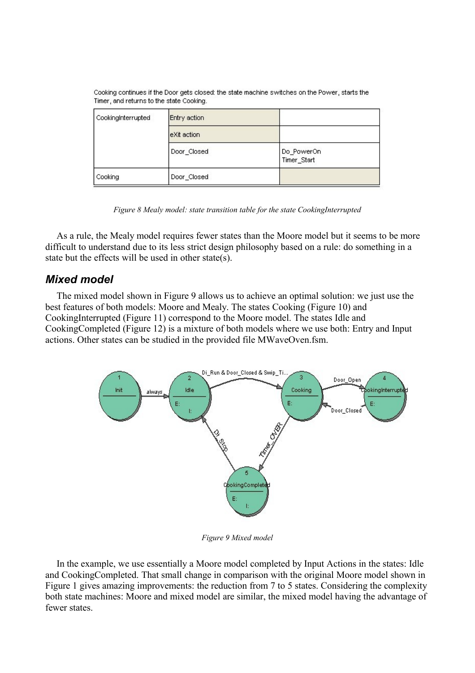| CookingInterrupted | Entry action |                           |
|--------------------|--------------|---------------------------|
|                    | eXit action  |                           |
|                    | Door_Closed  | Do_PowerOn<br>Timer_Start |
| Cooking            | Door_Closed  |                           |

Cooking continues if the Door gets closed: the state machine switches on the Power, starts the Timer, and returns to the state Cooking.

<span id="page-4-0"></span>*Figure 8 Mealy model: state transition table for the state CookingInterrupted*

As a rule, the Mealy model requires fewer states than the Moore model but it seems to be more difficult to understand due to its less strict design philosophy based on a rule: do something in a state but the effects will be used in other state(s).

# *Mixed model*

The mixed model shown in [Figure 9](#page-4-1) allows us to achieve an optimal solution: we just use the best features of both models: Moore and Mealy. The states Cooking [\(Figure 10\)](#page-5-1) and CookingInterrupted [\(Figure 11\)](#page-5-0) correspond to the Moore model. The states Idle and CookingCompleted [\(Figure 12\)](#page-6-0) is a mixture of both models where we use both: Entry and Input actions. Other states can be studied in the provided file MWaveOven.fsm.



<span id="page-4-1"></span>*Figure 9 Mixed model*

In the example, we use essentially a Moore model completed by Input Actions in the states: Idle and CookingCompleted. That small change in comparison with the original Moore model shown in [Figure 1](#page-1-0) gives amazing improvements: the reduction from 7 to 5 states. Considering the complexity both state machines: Moore and mixed model are similar, the mixed model having the advantage of fewer states.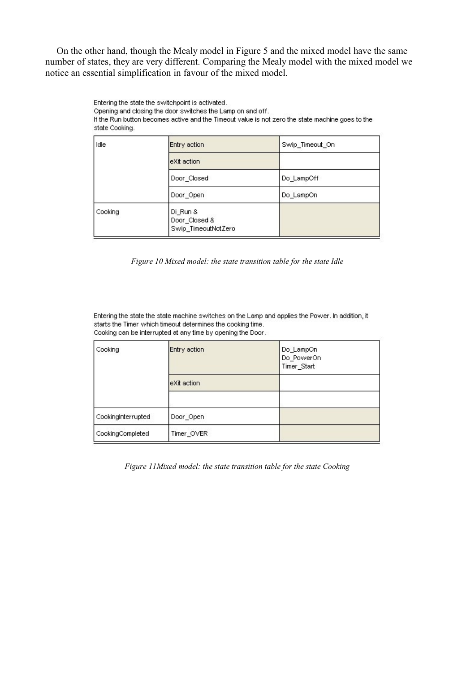On the other hand, though the Mealy model in [Figure 5](#page-2-1) and the mixed model have the same number of states, they are very different. Comparing the Mealy model with the mixed model we notice an essential simplification in favour of the mixed model.

Entering the state the switchpoint is activated.

Opening and closing the door switches the Lamp on and off.

If the Run button becomes active and the Timeout value is not zero the state machine goes to the state Cooking.

| Idle    | Entry action                                     | Swip Timeout On |
|---------|--------------------------------------------------|-----------------|
|         | eXit action                                      |                 |
|         | Door_Closed                                      | Do LampOff      |
|         | Door_Open                                        | Do LampOn       |
| Cooking | Di Run &<br>Door_Closed &<br>Swip_TimeoutNotZero |                 |

<span id="page-5-1"></span>*Figure 10 Mixed model: the state transition table for the state Idle*

Entering the state the state machine switches on the Lamp and applies the Power. In addition, it starts the Timer which timeout determines the cooking time. Cooking can be interrupted at any time by opening the Door.

| Cooking            | Entry action | Do_LampOn<br>Do_PowerOn<br>Timer_Start |
|--------------------|--------------|----------------------------------------|
|                    | leXit action |                                        |
|                    |              |                                        |
| CookingInterrupted | Door_Open    |                                        |
| CookingCompleted   | Timer_OVER   |                                        |

<span id="page-5-0"></span>*Figure 11Mixed model: the state transition table for the state Cooking*